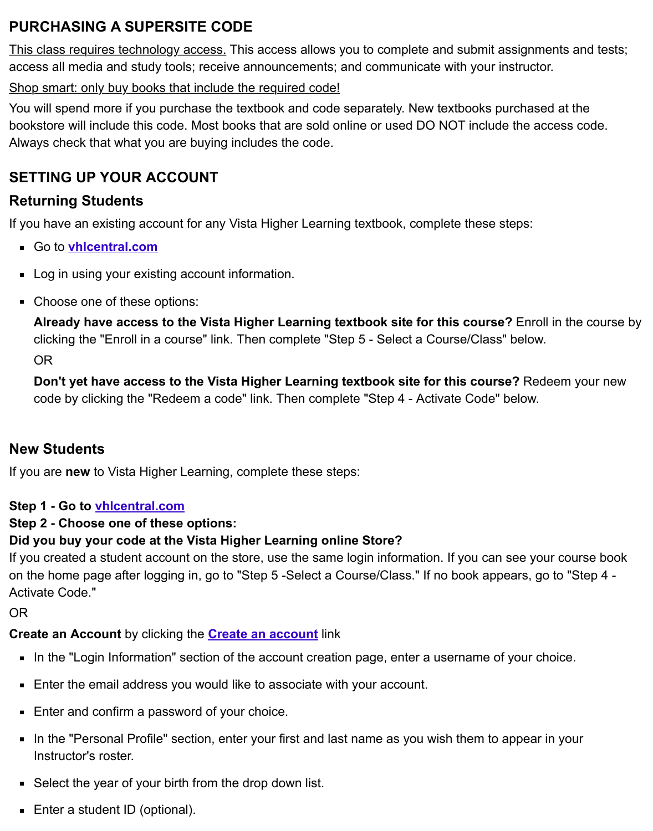$\blacksquare$ bookstore will include this code. Most books that are sold online or used DO NOT include the acc Always check that what you are buying includes the code.

## **SETTING UP YOUR ACCOUNT**

# **Returning Students**

If you have an existing account for any Vista Higher Learning textbook, complete these steps:

- Go to **vhlcentral.com**
- **Log in using your existing account information.**
- Choose one of these options:

**Already have access to the Vista Higher Learning textbook site for this course?** Enroll i clicking the "Enroll in a course" link. Then complete "Step 5 - Select a Course/Class" below. OR

**Don't yet have access to the Vista Higher Learning textbook site for this course?** Rede code by clicking the "Redeem a code" link. Then complete "Step 4 - Activate Code" below.

## **New Students**

If you are **new** to Vista Higher Learning, complete these steps:

## **Step 1 - Go to vhlcentral.com**

## **Step 2 - Choose one of these options:**

## **Did you buy your code at the Vista Higher Learning online Store?**

If you created a student account on the store, use the same login information. If you can see your on the home page after logging in, go to "Step 5 -Select a Course/Class." If no book appears, go to Activate Code."

OR

## **Create an Account** by clicking the **Create an account** link

- In the "Login Information" section of the account creation page, enter a username of your choice.
- Enter the email address you would like to associate with your account.
- Enter and confirm a password of your choice.
- In the "Personal Profile" sectio[n, enter your first and](https://www.vhlcentral.com/register) last name as you wish them to appear in  $\blacksquare$ Instructor's roster.
- Select the year of your birth from the drop down list.
- Enter a student ID (optional).